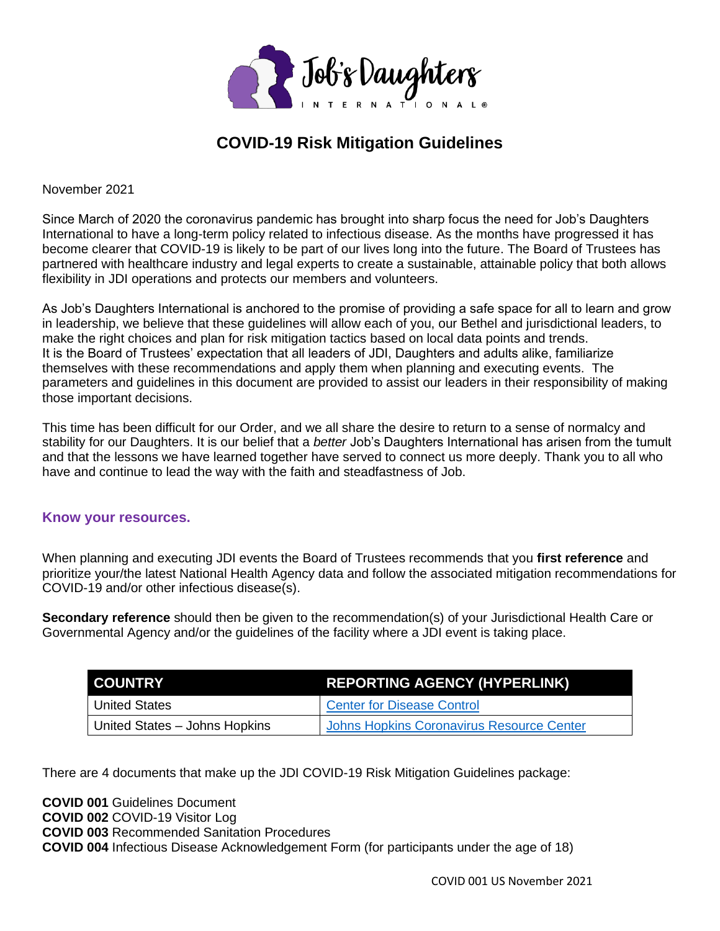

# **COVID-19 Risk Mitigation Guidelines**

November 2021

Since March of 2020 the coronavirus pandemic has brought into sharp focus the need for Job's Daughters International to have a long-term policy related to infectious disease. As the months have progressed it has become clearer that COVID-19 is likely to be part of our lives long into the future. The Board of Trustees has partnered with healthcare industry and legal experts to create a sustainable, attainable policy that both allows flexibility in JDI operations and protects our members and volunteers.

As Job's Daughters International is anchored to the promise of providing a safe space for all to learn and grow in leadership, we believe that these guidelines will allow each of you, our Bethel and jurisdictional leaders, to make the right choices and plan for risk mitigation tactics based on local data points and trends. It is the Board of Trustees' expectation that all leaders of JDI, Daughters and adults alike, familiarize themselves with these recommendations and apply them when planning and executing events. The parameters and guidelines in this document are provided to assist our leaders in their responsibility of making those important decisions.

This time has been difficult for our Order, and we all share the desire to return to a sense of normalcy and stability for our Daughters. It is our belief that a *better* Job's Daughters International has arisen from the tumult and that the lessons we have learned together have served to connect us more deeply. Thank you to all who have and continue to lead the way with the faith and steadfastness of Job.

#### **Know your resources.**

When planning and executing JDI events the Board of Trustees recommends that you **first reference** and prioritize your/the latest National Health Agency data and follow the associated mitigation recommendations for COVID-19 and/or other infectious disease(s).

**Secondary reference** should then be given to the recommendation(s) of your Jurisdictional Health Care or Governmental Agency and/or the guidelines of the facility where a JDI event is taking place.

| I COUNTRY                     | <b>REPORTING AGENCY (HYPERLINK)</b>              |  |
|-------------------------------|--------------------------------------------------|--|
| <sup>1</sup> United States    | <b>Center for Disease Control</b>                |  |
| United States - Johns Hopkins | <b>Johns Hopkins Coronavirus Resource Center</b> |  |

There are 4 documents that make up the JDI COVID-19 Risk Mitigation Guidelines package:

**COVID 001** Guidelines Document **COVID 002** COVID-19 Visitor Log **COVID 003** Recommended Sanitation Procedures **COVID 004** Infectious Disease Acknowledgement Form (for participants under the age of 18)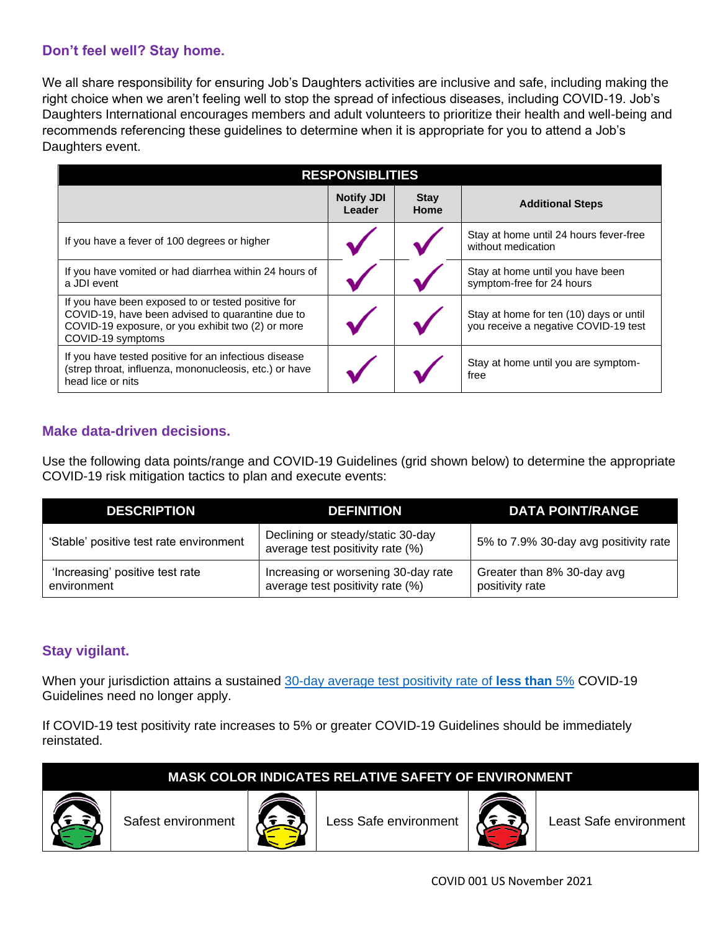# **Don't feel well? Stay home.**

We all share responsibility for ensuring Job's Daughters activities are inclusive and safe, including making the right choice when we aren't feeling well to stop the spread of infectious diseases, including COVID-19. Job's Daughters International encourages members and adult volunteers to prioritize their health and well-being and recommends referencing these guidelines to determine when it is appropriate for you to attend a Job's Daughters event.

| <b>RESPONSIBLITIES</b>                                                                                                                                                           |                             |                     |                                                                                 |  |  |  |
|----------------------------------------------------------------------------------------------------------------------------------------------------------------------------------|-----------------------------|---------------------|---------------------------------------------------------------------------------|--|--|--|
|                                                                                                                                                                                  | <b>Notify JDI</b><br>Leader | <b>Stay</b><br>Home | <b>Additional Steps</b>                                                         |  |  |  |
| If you have a fever of 100 degrees or higher                                                                                                                                     |                             |                     | Stay at home until 24 hours fever-free<br>without medication                    |  |  |  |
| If you have vomited or had diarrhea within 24 hours of<br>a JDI event                                                                                                            |                             |                     | Stay at home until you have been<br>symptom-free for 24 hours                   |  |  |  |
| If you have been exposed to or tested positive for<br>COVID-19, have been advised to quarantine due to<br>COVID-19 exposure, or you exhibit two (2) or more<br>COVID-19 symptoms |                             |                     | Stay at home for ten (10) days or until<br>you receive a negative COVID-19 test |  |  |  |
| If you have tested positive for an infectious disease<br>(strep throat, influenza, mononucleosis, etc.) or have<br>head lice or nits                                             |                             |                     | Stay at home until you are symptom-<br>free                                     |  |  |  |

## **Make data-driven decisions.**

Use the following data points/range and COVID-19 Guidelines (grid shown below) to determine the appropriate COVID-19 risk mitigation tactics to plan and execute events:

| <b>DESCRIPTION</b>                             | <b>DEFINITION</b>                                                       | <b>DATA POINT/RANGE</b>                       |
|------------------------------------------------|-------------------------------------------------------------------------|-----------------------------------------------|
| 'Stable' positive test rate environment        | Declining or steady/static 30-day<br>average test positivity rate (%)   | 5% to 7.9% 30-day avg positivity rate         |
| 'Increasing' positive test rate<br>environment | Increasing or worsening 30-day rate<br>average test positivity rate (%) | Greater than 8% 30-day avg<br>positivity rate |

## **Stay vigilant.**

When your jurisdiction attains a sustained [30-day average test positivity rate of](https://covid.cdc.gov/covid-data-tracker/#cases_positivity7day) **[less than](https://covid.cdc.gov/covid-data-tracker/#cases_positivity7day)** [5%](https://covid.cdc.gov/covid-data-tracker/#cases_positivity7day) COVID-19 Guidelines need no longer apply.

If COVID-19 test positivity rate increases to 5% or greater COVID-19 Guidelines should be immediately reinstated.







Safest environment  $\|\mathcal{I} \in \mathbb{R}$  Less Safe environment  $\|\mathcal{I} \in \mathbb{R}$  Least Safe environment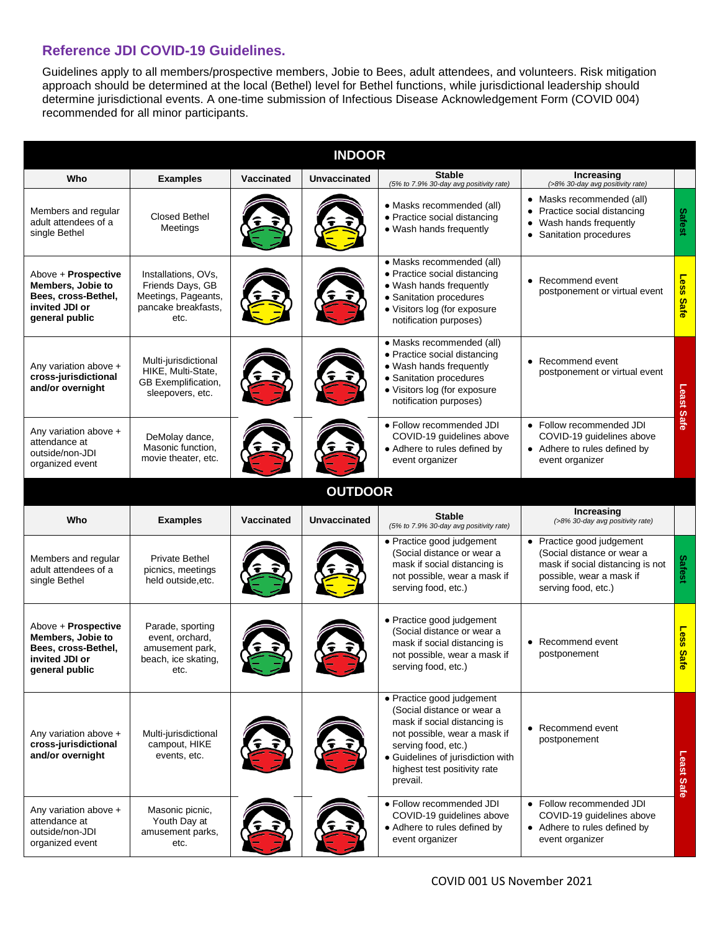#### **Reference JDI COVID-19 Guidelines.**

Guidelines apply to all members/prospective members, Jobie to Bees, adult attendees, and volunteers. Risk mitigation approach should be determined at the local (Bethel) level for Bethel functions, while jurisdictional leadership should determine jurisdictional events. A one-time submission of Infectious Disease Acknowledgement Form (COVID 004) recommended for all minor participants.

| <b>INDOOR</b>                                                                                       |                                                                                               |                   |                     |                                                                                                                                                                                                                                 |                                                                                                                                                |                     |  |  |  |
|-----------------------------------------------------------------------------------------------------|-----------------------------------------------------------------------------------------------|-------------------|---------------------|---------------------------------------------------------------------------------------------------------------------------------------------------------------------------------------------------------------------------------|------------------------------------------------------------------------------------------------------------------------------------------------|---------------------|--|--|--|
| Who                                                                                                 | <b>Examples</b>                                                                               | Vaccinated        | <b>Unvaccinated</b> | <b>Stable</b><br>(5% to 7.9% 30-day avg positivity rate)                                                                                                                                                                        | Increasing<br>(>8% 30-day avg positivity rate)                                                                                                 |                     |  |  |  |
| Members and regular<br>adult attendees of a<br>single Bethel                                        | <b>Closed Bethel</b><br>Meetings                                                              |                   |                     | • Masks recommended (all)<br>• Practice social distancing<br>• Wash hands frequently                                                                                                                                            | • Masks recommended (all)<br>• Practice social distancing<br>Wash hands frequently<br>$\bullet$<br>• Sanitation procedures                     | Safest              |  |  |  |
| Above + Prospective<br>Members, Jobie to<br>Bees, cross-Bethel,<br>invited JDI or<br>general public | Installations, OVs,<br>Friends Days, GB<br>Meetings, Pageants,<br>pancake breakfasts,<br>etc. |                   |                     | • Masks recommended (all)<br>• Practice social distancing<br>• Wash hands frequently<br>• Sanitation procedures<br>· Visitors log (for exposure<br>notification purposes)                                                       | • Recommend event<br>postponement or virtual event                                                                                             | Less<br><b>Safe</b> |  |  |  |
| Any variation above +<br>cross-jurisdictional<br>and/or overnight                                   | Multi-jurisdictional<br>HIKE, Multi-State,<br><b>GB</b> Exemplification,<br>sleepovers, etc.  |                   |                     | • Masks recommended (all)<br>• Practice social distancing<br>• Wash hands frequently<br>· Sanitation procedures<br>· Visitors log (for exposure<br>notification purposes)                                                       | • Recommend event<br>postponement or virtual event                                                                                             | .east               |  |  |  |
| Any variation above +<br>attendance at<br>outside/non-JDI<br>organized event                        | DeMolay dance,<br>Masonic function,<br>movie theater, etc.                                    |                   |                     | • Follow recommended JDI<br>COVID-19 guidelines above<br>• Adhere to rules defined by<br>event organizer                                                                                                                        | • Follow recommended JDI<br>COVID-19 guidelines above<br>• Adhere to rules defined by<br>event organizer                                       | Safe                |  |  |  |
|                                                                                                     |                                                                                               |                   | <b>OUTDOOR</b>      |                                                                                                                                                                                                                                 |                                                                                                                                                |                     |  |  |  |
| Who                                                                                                 | <b>Examples</b>                                                                               | <b>Vaccinated</b> | <b>Unvaccinated</b> | <b>Stable</b><br>(5% to 7.9% 30-day avg positivity rate)                                                                                                                                                                        | Increasing<br>(>8% 30-day avg positivity rate)                                                                                                 |                     |  |  |  |
| Members and regular<br>adult attendees of a<br>single Bethel                                        | <b>Private Bethel</b><br>picnics, meetings<br>held outside, etc.                              |                   |                     | • Practice good judgement<br>(Social distance or wear a<br>mask if social distancing is<br>not possible, wear a mask if<br>serving food, etc.)                                                                                  | • Practice good judgement<br>(Social distance or wear a<br>mask if social distancing is not<br>possible, wear a mask if<br>serving food, etc.) | <b>Safest</b>       |  |  |  |
| Above + Prospective<br>Members, Jobie to<br>Bees, cross-Bethel,<br>invited JDI or<br>general public | Parade, sporting<br>event, orchard,<br>amusement park,<br>beach, ice skating,<br>etc.         |                   |                     | • Practice good judgement<br>(Social distance or wear a<br>mask if social distancing is<br>not possible, wear a mask if<br>serving food, etc.)                                                                                  | • Recommend event<br>postponement                                                                                                              | Less<br><b>Safe</b> |  |  |  |
| Any variation above +<br>cross-jurisdictional<br>and/or overnight                                   | Multi-jurisdictional<br>campout, HIKE<br>events, etc.                                         |                   |                     | • Practice good judgement<br>(Social distance or wear a<br>mask if social distancing is<br>not possible, wear a mask if<br>serving food, etc.)<br>• Guidelines of jurisdiction with<br>highest test positivity rate<br>prevail. | • Recommend event<br>postponement                                                                                                              | Least Safe          |  |  |  |
| Any variation above +<br>attendance at<br>outside/non-JDI<br>organized event                        | Masonic picnic,<br>Youth Day at<br>amusement parks,<br>etc.                                   |                   |                     | • Follow recommended JDI<br>COVID-19 guidelines above<br>• Adhere to rules defined by<br>event organizer                                                                                                                        | • Follow recommended JDI<br>COVID-19 guidelines above<br>• Adhere to rules defined by<br>event organizer                                       |                     |  |  |  |